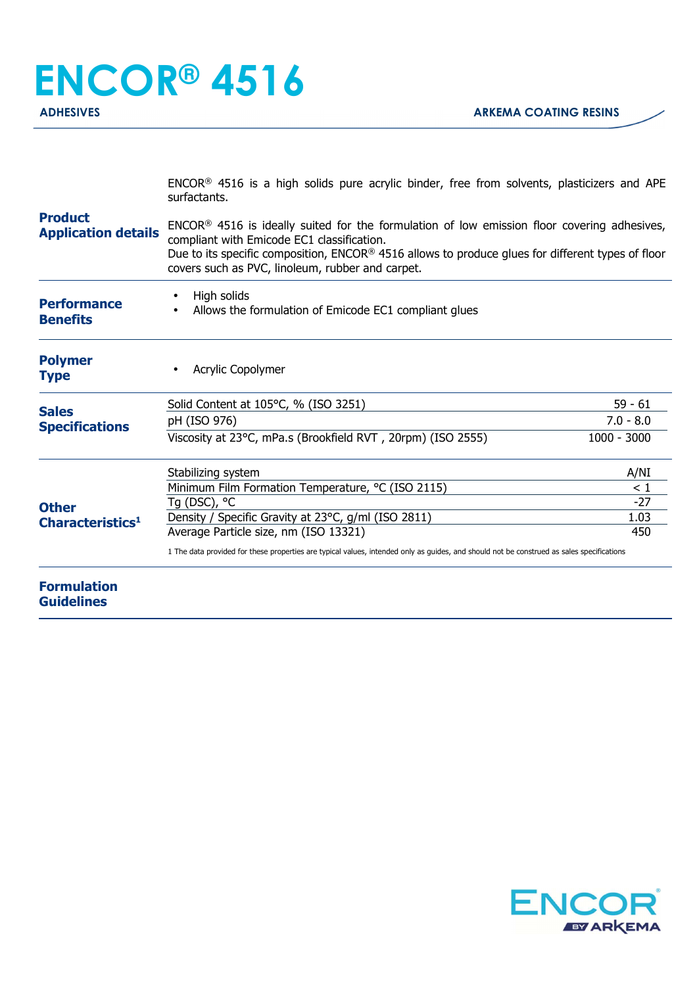ENCOR® 4516 is a high solids pure acrylic binder, free from solvents, plasticizers and APE surfactants.

| <b>Product</b><br><b>Application details</b> | ENCOR <sup>®</sup> 4516 is ideally suited for the formulation of low emission floor covering adhesives,<br>compliant with Emicode EC1 classification.<br>Due to its specific composition, ENCOR® 4516 allows to produce glues for different types of floor<br>covers such as PVC, linoleum, rubber and carpet. |               |
|----------------------------------------------|----------------------------------------------------------------------------------------------------------------------------------------------------------------------------------------------------------------------------------------------------------------------------------------------------------------|---------------|
| <b>Performance</b><br><b>Benefits</b>        | High solids<br>Allows the formulation of Emicode EC1 compliant glues                                                                                                                                                                                                                                           |               |
| <b>Polymer</b><br><b>Type</b>                | Acrylic Copolymer                                                                                                                                                                                                                                                                                              |               |
| <b>Sales</b><br><b>Specifications</b>        | Solid Content at 105°C, % (ISO 3251)                                                                                                                                                                                                                                                                           | $59 - 61$     |
|                                              | pH (ISO 976)                                                                                                                                                                                                                                                                                                   | $7.0 - 8.0$   |
|                                              | Viscosity at 23°C, mPa.s (Brookfield RVT, 20rpm) (ISO 2555)                                                                                                                                                                                                                                                    | $1000 - 3000$ |
| <b>Other</b><br>Characteristics <sup>1</sup> | Stabilizing system                                                                                                                                                                                                                                                                                             | A/NI          |
|                                              | Minimum Film Formation Temperature, °C (ISO 2115)                                                                                                                                                                                                                                                              | $\leq 1$      |
|                                              | Tg (DSC), °C                                                                                                                                                                                                                                                                                                   | $-27$         |
|                                              | Density / Specific Gravity at 23°C, g/ml (ISO 2811)                                                                                                                                                                                                                                                            | 1.03          |
|                                              | Average Particle size, nm (ISO 13321)                                                                                                                                                                                                                                                                          | 450           |
|                                              | 1 The data provided for these properties are typical values, intended only as guides, and should not be construed as sales specifications                                                                                                                                                                      |               |
| <b>Formulation</b><br><b>Guidelines</b>      |                                                                                                                                                                                                                                                                                                                |               |